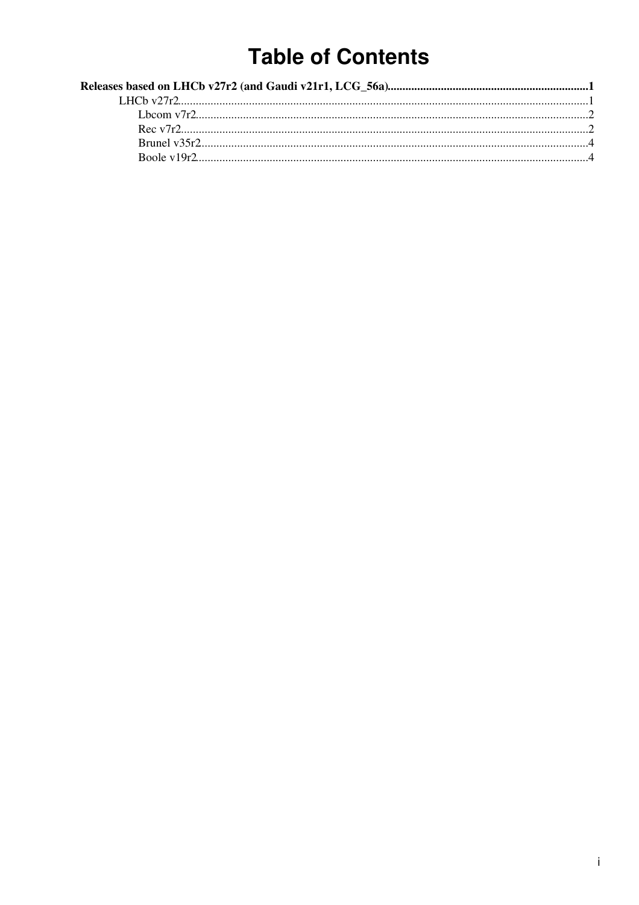# **Table of Contents**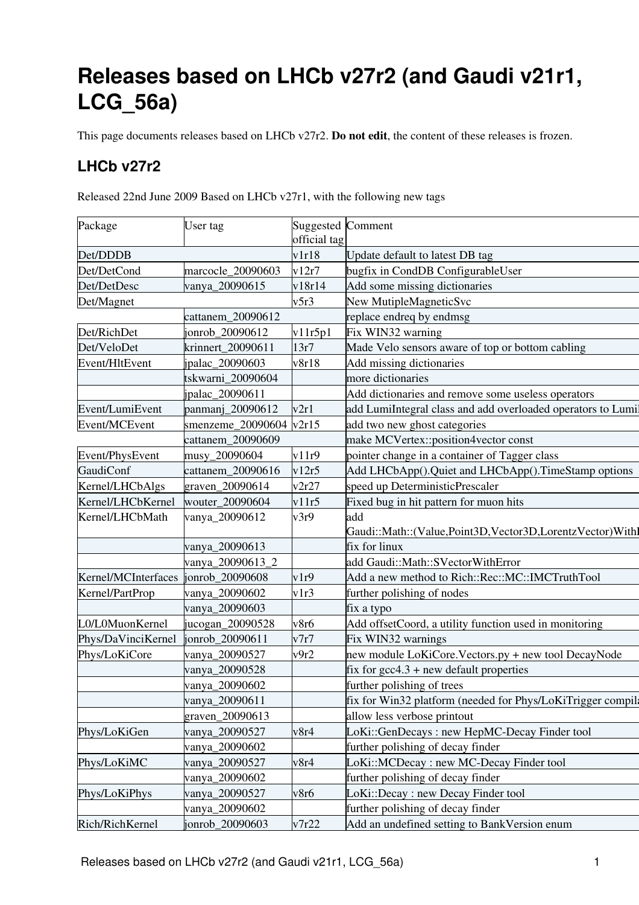# <span id="page-1-0"></span>**Releases based on LHCb v27r2 (and Gaudi v21r1, LCG\_56a)**

This page documents releases based on LHCb v27r2. **Do not edit**, the content of these releases is frozen.

## <span id="page-1-1"></span>**LHCb v27r2**

Released 22nd June 2009 Based on LHCb v27r1, with the following new tags

| Package             | User tag          | <b>Suggested Comment</b> |                                                              |  |
|---------------------|-------------------|--------------------------|--------------------------------------------------------------|--|
|                     |                   | official tag             |                                                              |  |
| Det/DDDB            |                   | v1r18                    | Update default to latest DB tag                              |  |
| Det/DetCond         | marcocle_20090603 | v12r7                    | bugfix in CondDB ConfigurableUser                            |  |
| Det/DetDesc         | vanya_20090615    | v18r14                   | Add some missing dictionaries                                |  |
| Det/Magnet          |                   | v5r3                     | New MutipleMagneticSvc                                       |  |
|                     | cattanem_20090612 |                          | replace endreq by endmsg                                     |  |
| Det/RichDet         | jonrob_20090612   | v11r5p1                  | Fix WIN32 warning                                            |  |
| Det/VeloDet         | krinnert 20090611 | 13r7                     | Made Velo sensors aware of top or bottom cabling             |  |
| Event/HltEvent      | ipalac_20090603   | v8r18                    | Add missing dictionaries                                     |  |
|                     | tskwarni_20090604 |                          | more dictionaries                                            |  |
|                     | jpalac_20090611   |                          | Add dictionaries and remove some useless operators           |  |
| Event/LumiEvent     | panmanj_20090612  | v2r1                     | add LumiIntegral class and add overloaded operators to Lumil |  |
| Event/MCEvent       | smenzeme_20090604 | v2r15                    | add two new ghost categories                                 |  |
|                     | cattanem_20090609 |                          | make MCVertex::position4vector const                         |  |
| Event/PhysEvent     | musy_20090604     | v11r9                    | pointer change in a container of Tagger class                |  |
| <b>GaudiConf</b>    | cattanem_20090616 | v12r5                    | Add LHCbApp().Quiet and LHCbApp().TimeStamp options          |  |
| Kernel/LHCbAlgs     | graven 20090614   | v2r27                    | speed up DeterministicPrescaler                              |  |
| Kernel/LHCbKernel   | wouter_20090604   | v11r5                    | Fixed bug in hit pattern for muon hits                       |  |
| Kernel/LHCbMath     | vanya_20090612    | v3r9                     | add                                                          |  |
|                     |                   |                          | Gaudi::Math::(Value,Point3D,Vector3D,LorentzVector)Withl     |  |
|                     | vanya_20090613    |                          | fix for linux                                                |  |
|                     | vanya_20090613_2  |                          | add Gaudi::Math::SVectorWithError                            |  |
| Kernel/MCInterfaces | jonrob_20090608   | v1r9                     | Add a new method to Rich::Rec::MC::IMCTruthTool              |  |
| Kernel/PartProp     | vanya_20090602    | v1r3                     | further polishing of nodes                                   |  |
|                     | vanya_20090603    |                          | fix a typo                                                   |  |
| L0/L0MuonKernel     | jucogan_20090528  | v8r6                     | Add offsetCoord, a utility function used in monitoring       |  |
| Phys/DaVinciKernel  | jonrob_20090611   | v7r7                     | Fix WIN32 warnings                                           |  |
| Phys/LoKiCore       | vanya_20090527    | v9r2                     | new module LoKiCore. Vectors.py + new tool DecayNode         |  |
|                     | vanya_20090528    |                          | fix for $\gcd(4.3) + \text{new}$ default properties          |  |
|                     | vanya_20090602    |                          | further polishing of trees                                   |  |
|                     | vanya_20090611    |                          | fix for Win32 platform (needed for Phys/LoKiTrigger compil:  |  |
|                     | graven_20090613   |                          | allow less verbose printout                                  |  |
| Phys/LoKiGen        | vanya_20090527    | v8r4                     | LoKi::GenDecays: new HepMC-Decay Finder tool                 |  |
|                     | vanya_20090602    |                          | further polishing of decay finder                            |  |
| Phys/LoKiMC         | vanya_20090527    | v8r4                     | LoKi::MCDecay: new MC-Decay Finder tool                      |  |
|                     | vanya_20090602    |                          | further polishing of decay finder                            |  |
| Phys/LoKiPhys       | vanya_20090527    | v8r6                     | LoKi::Decay: new Decay Finder tool                           |  |
|                     | vanya_20090602    |                          | further polishing of decay finder                            |  |
| Rich/RichKernel     | jonrob_20090603   | v7r22                    | Add an undefined setting to BankVersion enum                 |  |
|                     |                   |                          |                                                              |  |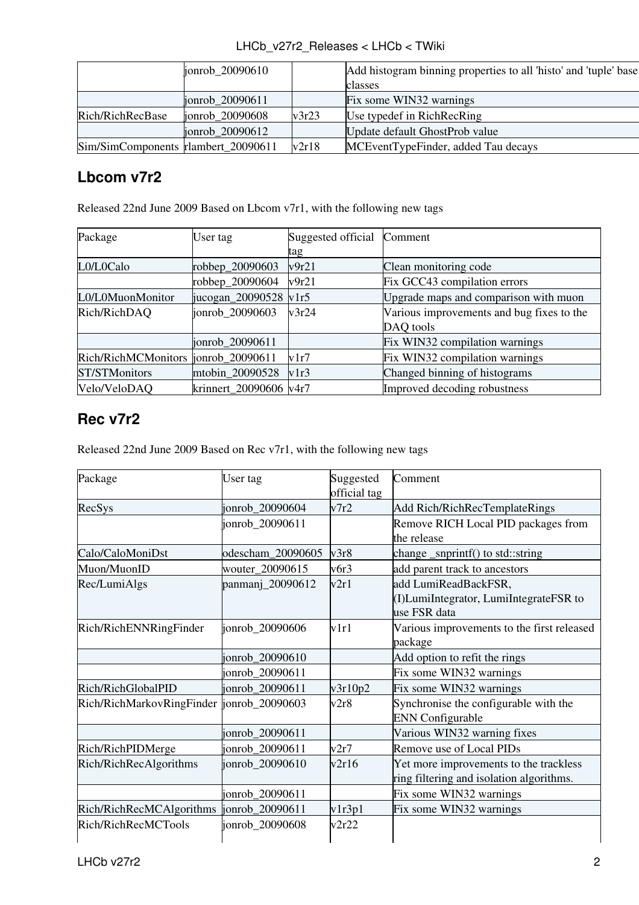| LHCb v27r2 Releases < LHCb < TWiki |  |  |  |
|------------------------------------|--|--|--|
|------------------------------------|--|--|--|

|                                     | jonrob 20090610   |       | Add histogram binning properties to all 'histo' and 'tuple' base |
|-------------------------------------|-------------------|-------|------------------------------------------------------------------|
|                                     |                   |       | classes                                                          |
|                                     | jonrob $20090611$ |       | Fix some WIN32 warnings                                          |
| Rich/RichRecBase                    | jonrob 20090608   | v3r23 | Use typedef in RichRecRing                                       |
|                                     | jonrob 20090612   |       | Update default GhostProb value                                   |
| Sim/SimComponents rlambert 20090611 |                   | v2r18 | MCEventTypeFinder, added Tau decays                              |

## <span id="page-2-0"></span>**Lbcom v7r2**

Released 22nd June 2009 Based on Lbcom v7r1, with the following new tags

| Package                              | User tag               | Suggested official | Comment                                   |
|--------------------------------------|------------------------|--------------------|-------------------------------------------|
|                                      |                        | tag                |                                           |
| L0/L0Calo                            | robbep_20090603        | v9r21              | Clean monitoring code                     |
|                                      | robbep_20090604        | v9r21              | Fix GCC43 compilation errors              |
| L0/L0MuonMonitor                     | jucogan_20090528 v1r5  |                    | Upgrade maps and comparison with muon     |
| Rich/RichDAQ                         | jonrob 20090603        | v3r24              | Various improvements and bug fixes to the |
|                                      |                        |                    | DAQ tools                                 |
|                                      | jonrob_20090611        |                    | Fix WIN32 compilation warnings            |
| Rich/RichMCMonitors  jonrob_20090611 |                        | v1r7               | Fix WIN32 compilation warnings            |
| ST/STMonitors                        | mtobin 20090528        | v1r3               | Changed binning of histograms             |
| Velo/VeloDAQ                         | krinnert 20090606 v4r7 |                    | Improved decoding robustness              |

### <span id="page-2-1"></span>**Rec v7r2**

Released 22nd June 2009 Based on Rec v7r1, with the following new tags

| Package                                    | User tag          | Suggested<br>official tag | Comment                                                                            |
|--------------------------------------------|-------------------|---------------------------|------------------------------------------------------------------------------------|
| RecSys                                     | jonrob_20090604   | v7r2                      | Add Rich/RichRecTemplateRings                                                      |
|                                            | jonrob_20090611   |                           | Remove RICH Local PID packages from<br>the release                                 |
| Calo/CaloMoniDst                           | odescham_20090605 | v3r8                      | change _snprintf() to std::string                                                  |
| Muon/MuonID                                | wouter_20090615   | v6r3                      | add parent track to ancestors                                                      |
| Rec/LumiAlgs                               | panmanj_20090612  | v2r1                      | add LumiReadBackFSR,<br>(I) LumiIntegrator, LumiIntegrateFSR to<br>use FSR data    |
| Rich/RichENNRingFinder                     | jonrob_20090606   | v1r1                      | Various improvements to the first released<br>package                              |
|                                            | jonrob_20090610   |                           | Add option to refit the rings                                                      |
|                                            | jonrob_20090611   |                           | Fix some WIN32 warnings                                                            |
| Rich/RichGlobalPID                         | jonrob_20090611   | v3r10p2                   | Fix some WIN32 warnings                                                            |
| Rich/RichMarkovRingFinder  jonrob_20090603 |                   | v2r8                      | Synchronise the configurable with the<br><b>ENN Configurable</b>                   |
|                                            | jonrob_20090611   |                           | Various WIN32 warning fixes                                                        |
| Rich/RichPIDMerge                          | jonrob_20090611   | v2r7                      | Remove use of Local PIDs                                                           |
| Rich/RichRecAlgorithms                     | jonrob_20090610   | v2r16                     | Yet more improvements to the trackless<br>ring filtering and isolation algorithms. |
|                                            | jonrob_20090611   |                           | Fix some WIN32 warnings                                                            |
| Rich/RichRecMCAlgorithms                   | jonrob_20090611   | v1r3p1                    | Fix some WIN32 warnings                                                            |
| Rich/RichRecMCTools                        | jonrob_20090608   | v2r22                     |                                                                                    |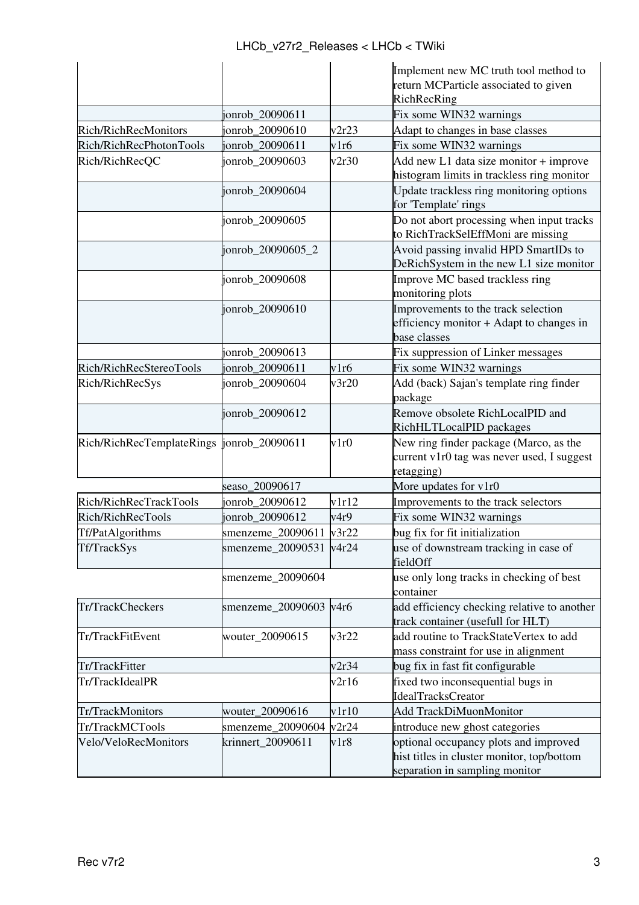|                                            |                         |       | Implement new MC truth tool method to<br>return MCParticle associated to given                                        |
|--------------------------------------------|-------------------------|-------|-----------------------------------------------------------------------------------------------------------------------|
|                                            |                         |       | RichRecRing                                                                                                           |
|                                            | jonrob_20090611         |       | Fix some WIN32 warnings                                                                                               |
| Rich/RichRecMonitors                       | jonrob_20090610         | v2r23 | Adapt to changes in base classes                                                                                      |
| Rich/RichRecPhotonTools                    | jonrob_20090611         | v1r6  | Fix some WIN32 warnings                                                                                               |
| Rich/RichRecQC                             | jonrob_20090603         | v2r30 | Add new L1 data size monitor + improve<br>histogram limits in trackless ring monitor                                  |
|                                            | jonrob_20090604         |       | Update trackless ring monitoring options<br>for 'Template' rings                                                      |
|                                            | jonrob_20090605         |       | Do not abort processing when input tracks<br>to RichTrackSelEffMoni are missing                                       |
|                                            | jonrob_20090605_2       |       | Avoid passing invalid HPD SmartIDs to<br>DeRichSystem in the new L1 size monitor                                      |
|                                            | jonrob_20090608         |       | Improve MC based trackless ring<br>monitoring plots                                                                   |
|                                            | jonrob_20090610         |       | Improvements to the track selection<br>efficiency monitor + Adapt to changes in<br>base classes                       |
|                                            | jonrob_20090613         |       | Fix suppression of Linker messages                                                                                    |
| Rich/RichRecStereoTools                    | jonrob_20090611         | v1r6  | Fix some WIN32 warnings                                                                                               |
| Rich/RichRecSys                            | jonrob_20090604         | v3r20 | Add (back) Sajan's template ring finder<br>package                                                                    |
|                                            | jonrob_20090612         |       | Remove obsolete RichLocalPID and<br>RichHLTLocalPID packages                                                          |
| Rich/RichRecTemplateRings  jonrob_20090611 |                         | v1r0  | New ring finder package (Marco, as the<br>current v1r0 tag was never used, I suggest<br>retagging)                    |
|                                            | seaso_20090617          |       | More updates for v1r0                                                                                                 |
| Rich/RichRecTrackTools                     | jonrob_20090612         | v1r12 | Improvements to the track selectors                                                                                   |
| Rich/RichRecTools                          | jonrob_20090612         | v4r9  | Fix some WIN32 warnings                                                                                               |
| Tf/PatAlgorithms                           | smenzeme_20090611       | v3r22 | bug fix for fit initialization                                                                                        |
| Tf/TrackSys                                | smenzeme_20090531 v4r24 |       | use of downstream tracking in case of<br>fieldOff                                                                     |
|                                            | smenzeme_20090604       |       | use only long tracks in checking of best<br>container                                                                 |
| Tr/TrackCheckers                           | smenzeme_20090603       | v4r6  | add efficiency checking relative to another<br>track container (usefull for HLT)                                      |
| Tr/TrackFitEvent                           | wouter_20090615         | v3r22 | add routine to TrackStateVertex to add<br>mass constraint for use in alignment                                        |
| Tr/TrackFitter                             |                         | v2r34 | bug fix in fast fit configurable                                                                                      |
| Tr/TrackIdealPR                            |                         | v2r16 | fixed two inconsequential bugs in<br><b>IdealTracksCreator</b>                                                        |
| Tr/TrackMonitors                           | wouter_20090616         | v1r10 | Add TrackDiMuonMonitor                                                                                                |
| Tr/TrackMCTools                            | smenzeme_20090604       | v2r24 | introduce new ghost categories                                                                                        |
| Velo/VeloRecMonitors                       | krinnert_20090611       | v1r8  | optional occupancy plots and improved<br>hist titles in cluster monitor, top/bottom<br>separation in sampling monitor |